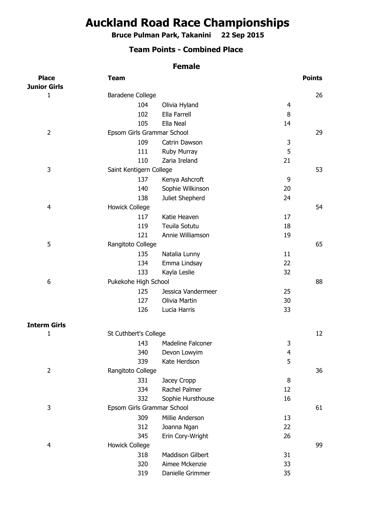## **Auckland Road Race Championships**

**Bruce Pulman Park, Takanini 22 Sep 2015**

## **Team Points - Combined Place**

## **Female**

| <b>Place</b>        | <b>Team</b>                |                    |    | <b>Points</b> |
|---------------------|----------------------------|--------------------|----|---------------|
| <b>Junior Girls</b> |                            |                    |    |               |
| 1                   | Baradene College           |                    |    | 26            |
|                     | 104                        | Olivia Hyland      | 4  |               |
|                     | 102                        | Ella Farrell       | 8  |               |
|                     | 105                        | Ella Neal          | 14 |               |
| $\overline{2}$      | Epsom Girls Grammar School |                    |    | 29            |
|                     | 109                        | Catrin Dawson      | 3  |               |
|                     | 111                        | Ruby Murray        | 5  |               |
|                     | 110                        | Zaria Ireland      | 21 |               |
| 3                   | Saint Kentigern College    |                    |    | 53            |
|                     | 137                        | Kenya Ashcroft     | 9  |               |
|                     | 140                        | Sophie Wilkinson   | 20 |               |
|                     | 138                        | Juliet Shepherd    | 24 |               |
| 4                   | <b>Howick College</b>      |                    |    | 54            |
|                     | 117                        | Katie Heaven       | 17 |               |
|                     | 119                        | Teuila Sotutu      | 18 |               |
|                     | 121                        | Annie Williamson   | 19 |               |
| 5                   | Rangitoto College          |                    |    | 65            |
|                     | 135                        | Natalia Lunny      | 11 |               |
|                     | 134                        | Emma Lindsay       | 22 |               |
|                     | 133                        | Kayla Leslie       | 32 |               |
| 6                   | Pukekohe High School       |                    |    | 88            |
|                     | 125                        | Jessica Vandermeer | 25 |               |
|                     | 127                        | Olivia Martin      | 30 |               |
|                     | 126                        | Lucia Harris       | 33 |               |
|                     |                            |                    |    |               |
| <b>Interm Girls</b> |                            |                    |    |               |
| 1                   | St Cuthbert's College      |                    |    | 12            |
|                     | 143                        | Madeline Falconer  | 3  |               |
|                     | 340                        | Devon Lowyim       | 4  |               |
|                     | 339                        | Kate Herdson       | 5  |               |
| $\overline{2}$      | Rangitoto College          |                    |    | 36            |
|                     | 331                        | Jacey Cropp        | 8  |               |
|                     | 334                        | Rachel Palmer      | 12 |               |
|                     | 332                        | Sophie Hursthouse  | 16 |               |
| 3                   | Epsom Girls Grammar School |                    |    | 61            |
|                     | 309                        | Millie Anderson    | 13 |               |
|                     | 312                        | Joanna Ngan        | 22 |               |
|                     | 345                        | Erin Cory-Wright   | 26 |               |
| 4                   | <b>Howick College</b>      |                    |    | 99            |
|                     | 318                        | Maddison Gilbert   | 31 |               |
|                     | 320                        | Aimee Mckenzie     | 33 |               |
|                     | 319                        | Danielle Grimmer   | 35 |               |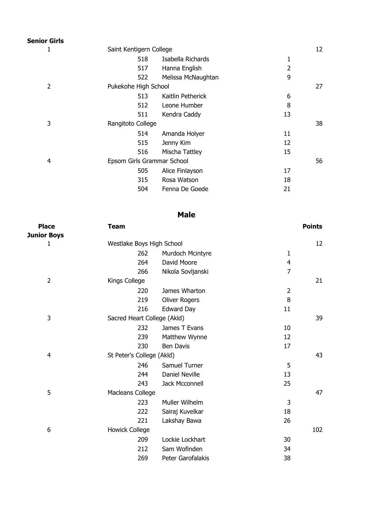| <b>Senior Girls</b> |                            |                    |                |    |
|---------------------|----------------------------|--------------------|----------------|----|
| 1                   | Saint Kentigern College    |                    |                | 12 |
|                     | 518                        | Isabella Richards  | 1              |    |
|                     | 517                        | Hanna English      | $\overline{2}$ |    |
|                     | 522                        | Melissa McNaughtan | 9              |    |
| $\overline{2}$      | Pukekohe High School       |                    |                | 27 |
|                     | 513                        | Kaitlin Petherick  | 6              |    |
|                     | 512                        | Leone Humber       | 8              |    |
|                     | 511                        | Kendra Caddy       | 13             |    |
| 3                   | Rangitoto College          |                    | 38             |    |
|                     | 514                        | Amanda Holyer      | 11             |    |
|                     | 515                        | Jenny Kim          | 12             |    |
|                     | 516                        | Mischa Tattley     | 15             |    |
| 4                   | Epsom Girls Grammar School |                    |                | 56 |
|                     | 505                        | Alice Finlayson    | 17             |    |
|                     | 315                        | Rosa Watson        | 18             |    |
|                     | 504                        | Fenna De Goede     | 21             |    |

| <b>Place</b>       | Team                        |                       |                | <b>Points</b> |
|--------------------|-----------------------------|-----------------------|----------------|---------------|
| <b>Junior Boys</b> |                             |                       |                |               |
| 1                  | Westlake Boys High School   |                       |                | 12            |
|                    | 262                         | Murdoch Mcintyre      | 1              |               |
|                    | 264                         | David Moore           | $\overline{4}$ |               |
|                    | 266                         | Nikola Sovljanski     | $\overline{7}$ |               |
| $\overline{2}$     | Kings College               |                       |                | 21            |
|                    | 220                         | James Wharton         | $\overline{2}$ |               |
|                    | 219                         | <b>Oliver Rogers</b>  | 8              |               |
|                    | 216                         | Edward Day            | 11             |               |
| 3                  | Sacred Heart College (Akld) |                       |                | 39            |
|                    | 232                         | James T Evans         | 10             |               |
|                    | 239                         | Matthew Wynne         | 12             |               |
|                    | 230                         | <b>Ben Davis</b>      | 17             |               |
| 4                  | St Peter's College (Akld)   |                       |                | 43            |
|                    | 246                         | Samuel Turner         | 5              |               |
|                    | 244                         | <b>Daniel Neville</b> | 13             |               |
|                    | 243                         | Jack Mcconnell        | 25             |               |
| 5                  | Macleans College            |                       |                | 47            |
|                    | 223                         | Muller Wilhelm        | 3              |               |
|                    | 222                         | Sairaj Kuvelkar       | 18             |               |
|                    | 221                         | Lakshay Bawa          | 26             |               |
| 6                  | <b>Howick College</b>       |                       |                | 102           |
|                    | 209                         | Lockie Lockhart       | 30             |               |
|                    | 212                         | Sam Wofinden          | 34             |               |
|                    | 269                         | Peter Garofalakis     | 38             |               |